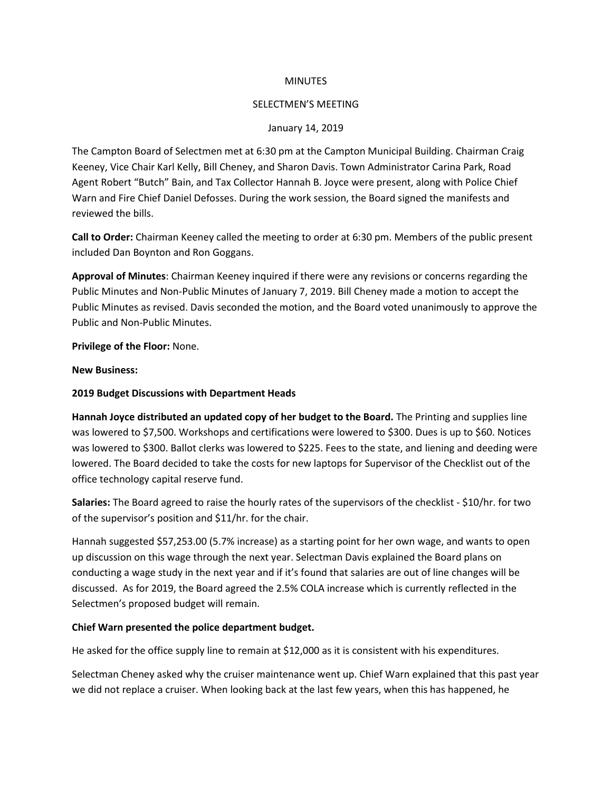#### MINUTES

## SELECTMEN'S MEETING

## January 14, 2019

The Campton Board of Selectmen met at 6:30 pm at the Campton Municipal Building. Chairman Craig Keeney, Vice Chair Karl Kelly, Bill Cheney, and Sharon Davis. Town Administrator Carina Park, Road Agent Robert "Butch" Bain, and Tax Collector Hannah B. Joyce were present, along with Police Chief Warn and Fire Chief Daniel Defosses. During the work session, the Board signed the manifests and reviewed the bills.

**Call to Order:** Chairman Keeney called the meeting to order at 6:30 pm. Members of the public present included Dan Boynton and Ron Goggans.

**Approval of Minutes**: Chairman Keeney inquired if there were any revisions or concerns regarding the Public Minutes and Non-Public Minutes of January 7, 2019. Bill Cheney made a motion to accept the Public Minutes as revised. Davis seconded the motion, and the Board voted unanimously to approve the Public and Non-Public Minutes.

**Privilege of the Floor:** None.

**New Business:**

## **2019 Budget Discussions with Department Heads**

**Hannah Joyce distributed an updated copy of her budget to the Board.** The Printing and supplies line was lowered to \$7,500. Workshops and certifications were lowered to \$300. Dues is up to \$60. Notices was lowered to \$300. Ballot clerks was lowered to \$225. Fees to the state, and liening and deeding were lowered. The Board decided to take the costs for new laptops for Supervisor of the Checklist out of the office technology capital reserve fund.

**Salaries:** The Board agreed to raise the hourly rates of the supervisors of the checklist - \$10/hr. for two of the supervisor's position and \$11/hr. for the chair.

Hannah suggested \$57,253.00 (5.7% increase) as a starting point for her own wage, and wants to open up discussion on this wage through the next year. Selectman Davis explained the Board plans on conducting a wage study in the next year and if it's found that salaries are out of line changes will be discussed. As for 2019, the Board agreed the 2.5% COLA increase which is currently reflected in the Selectmen's proposed budget will remain.

# **Chief Warn presented the police department budget.**

He asked for the office supply line to remain at \$12,000 as it is consistent with his expenditures.

Selectman Cheney asked why the cruiser maintenance went up. Chief Warn explained that this past year we did not replace a cruiser. When looking back at the last few years, when this has happened, he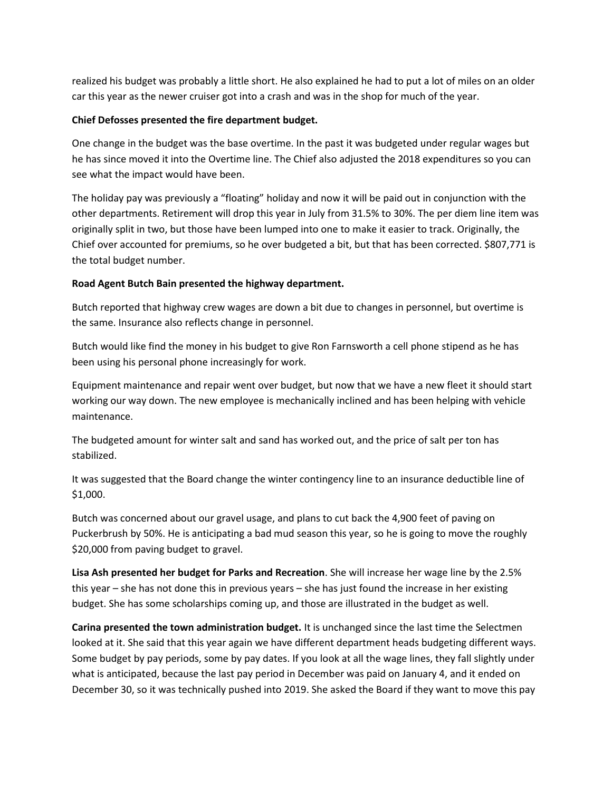realized his budget was probably a little short. He also explained he had to put a lot of miles on an older car this year as the newer cruiser got into a crash and was in the shop for much of the year.

#### **Chief Defosses presented the fire department budget.**

One change in the budget was the base overtime. In the past it was budgeted under regular wages but he has since moved it into the Overtime line. The Chief also adjusted the 2018 expenditures so you can see what the impact would have been.

The holiday pay was previously a "floating" holiday and now it will be paid out in conjunction with the other departments. Retirement will drop this year in July from 31.5% to 30%. The per diem line item was originally split in two, but those have been lumped into one to make it easier to track. Originally, the Chief over accounted for premiums, so he over budgeted a bit, but that has been corrected. \$807,771 is the total budget number.

## **Road Agent Butch Bain presented the highway department.**

Butch reported that highway crew wages are down a bit due to changes in personnel, but overtime is the same. Insurance also reflects change in personnel.

Butch would like find the money in his budget to give Ron Farnsworth a cell phone stipend as he has been using his personal phone increasingly for work.

Equipment maintenance and repair went over budget, but now that we have a new fleet it should start working our way down. The new employee is mechanically inclined and has been helping with vehicle maintenance.

The budgeted amount for winter salt and sand has worked out, and the price of salt per ton has stabilized.

It was suggested that the Board change the winter contingency line to an insurance deductible line of \$1,000.

Butch was concerned about our gravel usage, and plans to cut back the 4,900 feet of paving on Puckerbrush by 50%. He is anticipating a bad mud season this year, so he is going to move the roughly \$20,000 from paving budget to gravel.

**Lisa Ash presented her budget for Parks and Recreation**. She will increase her wage line by the 2.5% this year – she has not done this in previous years – she has just found the increase in her existing budget. She has some scholarships coming up, and those are illustrated in the budget as well.

**Carina presented the town administration budget.** It is unchanged since the last time the Selectmen looked at it. She said that this year again we have different department heads budgeting different ways. Some budget by pay periods, some by pay dates. If you look at all the wage lines, they fall slightly under what is anticipated, because the last pay period in December was paid on January 4, and it ended on December 30, so it was technically pushed into 2019. She asked the Board if they want to move this pay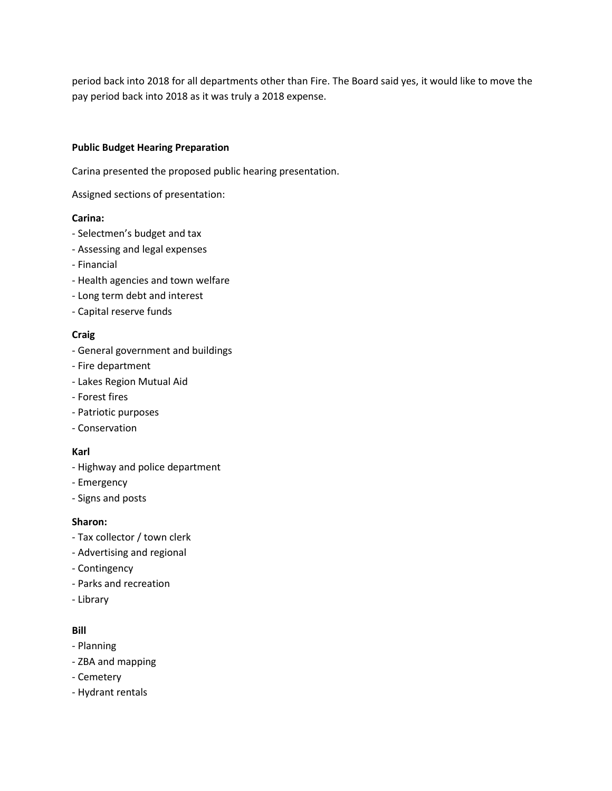period back into 2018 for all departments other than Fire. The Board said yes, it would like to move the pay period back into 2018 as it was truly a 2018 expense.

## **Public Budget Hearing Preparation**

Carina presented the proposed public hearing presentation.

Assigned sections of presentation:

## **Carina:**

- Selectmen's budget and tax
- Assessing and legal expenses
- Financial
- Health agencies and town welfare
- Long term debt and interest
- Capital reserve funds

## **Craig**

- General government and buildings
- Fire department
- Lakes Region Mutual Aid
- Forest fires
- Patriotic purposes
- Conservation

# **Karl**

- Highway and police department
- Emergency
- Signs and posts

## **Sharon:**

- Tax collector / town clerk
- Advertising and regional
- Contingency
- Parks and recreation
- Library

# **Bill**

- Planning
- ZBA and mapping
- Cemetery
- Hydrant rentals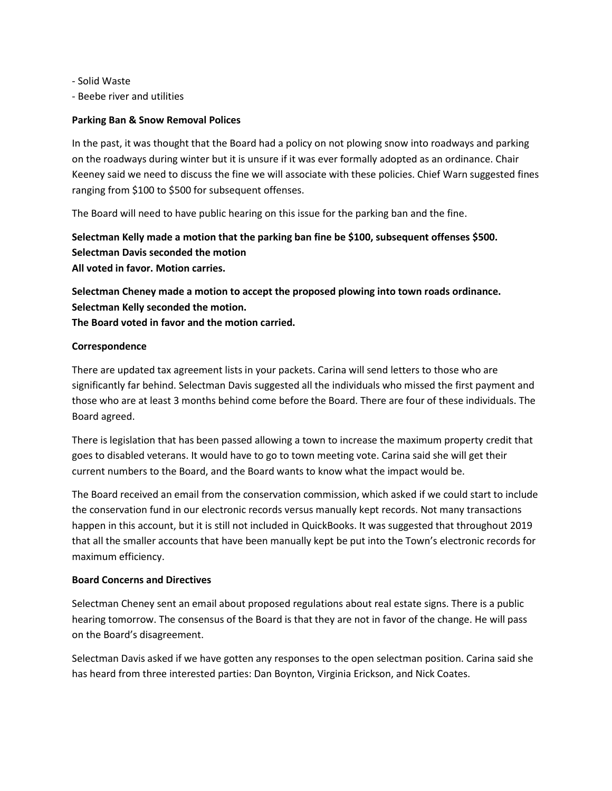- Solid Waste
- Beebe river and utilities

#### **Parking Ban & Snow Removal Polices**

In the past, it was thought that the Board had a policy on not plowing snow into roadways and parking on the roadways during winter but it is unsure if it was ever formally adopted as an ordinance. Chair Keeney said we need to discuss the fine we will associate with these policies. Chief Warn suggested fines ranging from \$100 to \$500 for subsequent offenses.

The Board will need to have public hearing on this issue for the parking ban and the fine.

**Selectman Kelly made a motion that the parking ban fine be \$100, subsequent offenses \$500. Selectman Davis seconded the motion All voted in favor. Motion carries.**

**Selectman Cheney made a motion to accept the proposed plowing into town roads ordinance. Selectman Kelly seconded the motion. The Board voted in favor and the motion carried.**

## **Correspondence**

There are updated tax agreement lists in your packets. Carina will send letters to those who are significantly far behind. Selectman Davis suggested all the individuals who missed the first payment and those who are at least 3 months behind come before the Board. There are four of these individuals. The Board agreed.

There is legislation that has been passed allowing a town to increase the maximum property credit that goes to disabled veterans. It would have to go to town meeting vote. Carina said she will get their current numbers to the Board, and the Board wants to know what the impact would be.

The Board received an email from the conservation commission, which asked if we could start to include the conservation fund in our electronic records versus manually kept records. Not many transactions happen in this account, but it is still not included in QuickBooks. It was suggested that throughout 2019 that all the smaller accounts that have been manually kept be put into the Town's electronic records for maximum efficiency.

#### **Board Concerns and Directives**

Selectman Cheney sent an email about proposed regulations about real estate signs. There is a public hearing tomorrow. The consensus of the Board is that they are not in favor of the change. He will pass on the Board's disagreement.

Selectman Davis asked if we have gotten any responses to the open selectman position. Carina said she has heard from three interested parties: Dan Boynton, Virginia Erickson, and Nick Coates.